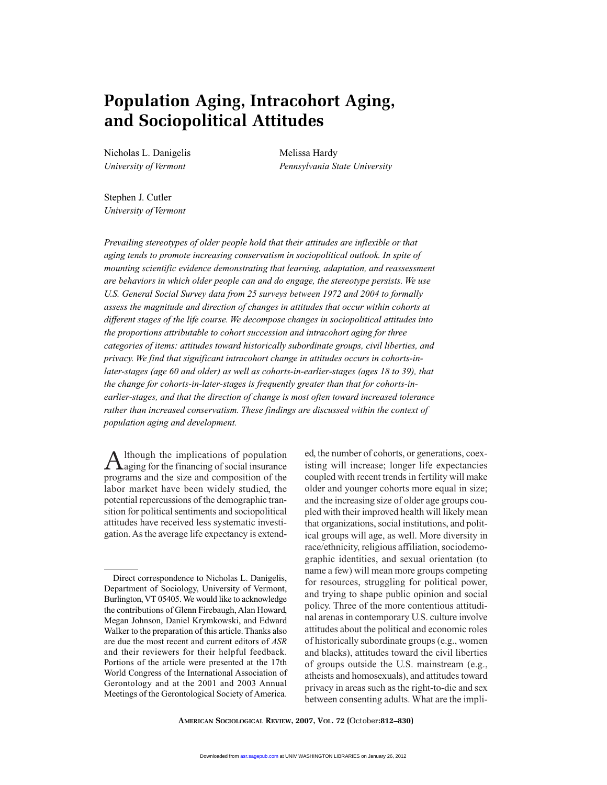# **Population Aging, Intracohort Aging, and Sociopolitical Attitudes**

Nicholas L. Danigelis Melissa Hardy

*University of Vermont Pennsylvania State University*

Stephen J. Cutler *University of Vermont*

*Prevailing stereotypes of older people hold that their attitudes are inflexible or that aging tends to promote increasing conservatism in sociopolitical outlook. In spite of mounting scientific evidence demonstrating that learning, adaptation, and reassessment are behaviors in which older people can and do engage, the stereotype persists. We use U.S. General Social Survey data from 25 surveys between 1972 and 2004 to formally assess the magnitude and direction of changes in attitudes that occur within cohorts at different stages of the life course. We decompose changes in sociopolitical attitudes into the proportions attributable to cohort succession and intracohort aging for three categories of items: attitudes toward historically subordinate groups, civil liberties, and privacy. We find that significant intracohort change in attitudes occurs in cohorts-inlater-stages (age 60 and older) as well as cohorts-in-earlier-stages (ages 18 to 39), that the change for cohorts-in-later-stages is frequently greater than that for cohorts-inearlier-stages, and that the direction of change is most often toward increased tolerance rather than increased conservatism. These findings are discussed within the context of population aging and development.*

Although the implications of population aging for the financing of social insurance programs and the size and composition of the labor market have been widely studied, the potential repercussions of the demographic transition for political sentiments and sociopolitical attitudes have received less systematic investigation. As the average life expectancy is extended, the number of cohorts, or generations, coexisting will increase; longer life expectancies coupled with recent trends in fertility will make older and younger cohorts more equal in size; and the increasing size of older age groups coupled with their improved health will likely mean that organizations, social institutions, and political groups will age, as well. More diversity in race/ethnicity, religious affiliation, sociodemographic identities, and sexual orientation (to name a few) will mean more groups competing for resources, struggling for political power, and trying to shape public opinion and social policy. Three of the more contentious attitudinal arenas in contemporary U.S. culture involve attitudes about the political and economic roles of historically subordinate groups (e.g., women and blacks), attitudes toward the civil liberties of groups outside the U.S. mainstream (e.g., atheists and homosexuals), and attitudes toward privacy in areas such as the right-to-die and sex between consenting adults. What are the impli-

**AMERICAN SOCIOLOGICAL REVIEW, 2007, VOL. 72 (**October**:812–830)**

Direct correspondence to Nicholas L. Danigelis, Department of Sociology, University of Vermont, Burlington, VT 05405. We would like to acknowledge the contributions of Glenn Firebaugh, Alan Howard, Megan Johnson, Daniel Krymkowski, and Edward Walker to the preparation of this article. Thanks also are due the most recent and current editors of *ASR* and their reviewers for their helpful feedback. Portions of the article were presented at the 17th World Congress of the International Association of Gerontology and at the 2001 and 2003 Annual Meetings of the Gerontological Society of America.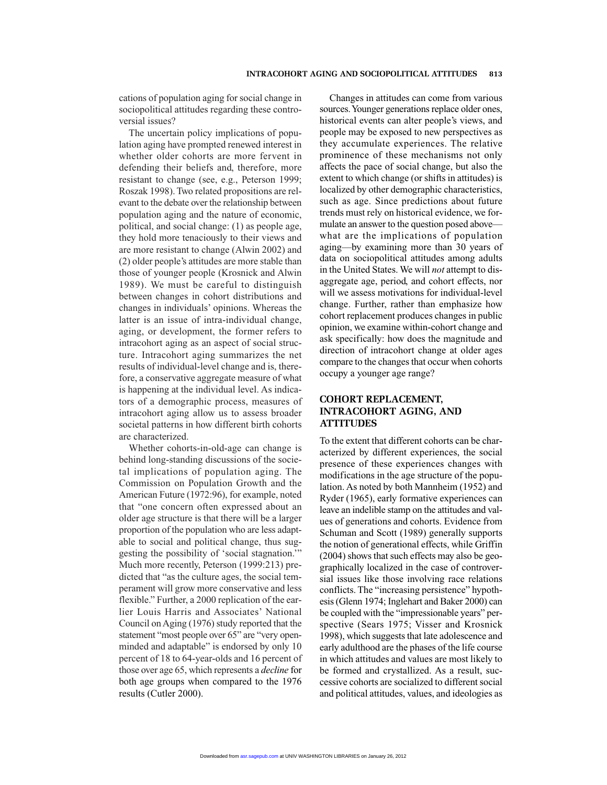cations of population aging for social change in sociopolitical attitudes regarding these controversial issues?

The uncertain policy implications of population aging have prompted renewed interest in whether older cohorts are more fervent in defending their beliefs and, therefore, more resistant to change (see, e.g., Peterson 1999; Roszak 1998). Two related propositions are relevant to the debate over the relationship between population aging and the nature of economic, political, and social change: (1) as people age, they hold more tenaciously to their views and are more resistant to change (Alwin 2002) and (2) older people's attitudes are more stable than those of younger people (Krosnick and Alwin 1989). We must be careful to distinguish between changes in cohort distributions and changes in individuals' opinions. Whereas the latter is an issue of intra-individual change, aging, or development, the former refers to intracohort aging as an aspect of social structure. Intracohort aging summarizes the net results of individual-level change and is, therefore, a conservative aggregate measure of what is happening at the individual level. As indicators of a demographic process, measures of intracohort aging allow us to assess broader societal patterns in how different birth cohorts are characterized.

Whether cohorts-in-old-age can change is behind long-standing discussions of the societal implications of population aging. The Commission on Population Growth and the American Future (1972:96), for example, noted that "one concern often expressed about an older age structure is that there will be a larger proportion of the population who are less adaptable to social and political change, thus suggesting the possibility of 'social stagnation.'" Much more recently, Peterson (1999:213) predicted that "as the culture ages, the social temperament will grow more conservative and less flexible." Further, a 2000 replication of the earlier Louis Harris and Associates' National Council on Aging (1976) study reported that the statement "most people over 65" are "very openminded and adaptable" is endorsed by only 10 percent of 18 to 64-year-olds and 16 percent of those over age 65, which represents a *decline* for both age groups when compared to the 1976 results (Cutler 2000).

Changes in attitudes can come from various sources. Younger generations replace older ones, historical events can alter people's views, and people may be exposed to new perspectives as they accumulate experiences. The relative prominence of these mechanisms not only affects the pace of social change, but also the extent to which change (or shifts in attitudes) is localized by other demographic characteristics, such as age. Since predictions about future trends must rely on historical evidence, we formulate an answer to the question posed above what are the implications of population aging—by examining more than 30 years of data on sociopolitical attitudes among adults in the United States. We will *not* attempt to disaggregate age, period, and cohort effects, nor will we assess motivations for individual-level change. Further, rather than emphasize how cohort replacement produces changes in public opinion, we examine within-cohort change and ask specifically: how does the magnitude and direction of intracohort change at older ages compare to the changes that occur when cohorts occupy a younger age range?

# **COHORT REPLACEMENT, INTRACOHORT AGING, AND ATTITUDES**

To the extent that different cohorts can be characterized by different experiences, the social presence of these experiences changes with modifications in the age structure of the population. As noted by both Mannheim (1952) and Ryder (1965), early formative experiences can leave an indelible stamp on the attitudes and values of generations and cohorts. Evidence from Schuman and Scott (1989) generally supports the notion of generational effects, while Griffin (2004) shows that such effects may also be geographically localized in the case of controversial issues like those involving race relations conflicts. The "increasing persistence" hypothesis (Glenn 1974; Inglehart and Baker 2000) can be coupled with the "impressionable years" perspective (Sears 1975; Visser and Krosnick 1998), which suggests that late adolescence and early adulthood are the phases of the life course in which attitudes and values are most likely to be formed and crystallized. As a result, successive cohorts are socialized to different social and political attitudes, values, and ideologies as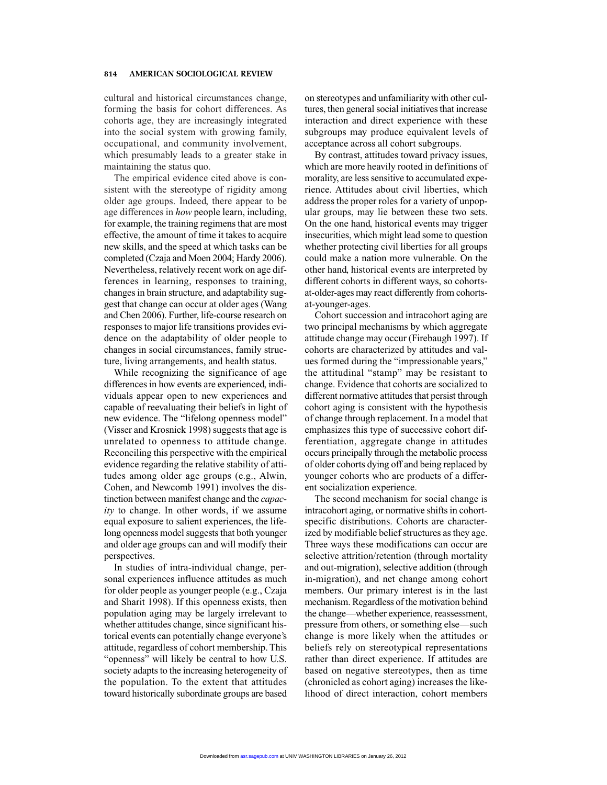cultural and historical circumstances change, forming the basis for cohort differences. As cohorts age, they are increasingly integrated into the social system with growing family, occupational, and community involvement, which presumably leads to a greater stake in maintaining the status quo.

The empirical evidence cited above is consistent with the stereotype of rigidity among older age groups. Indeed, there appear to be age differences in *how* people learn, including, for example, the training regimens that are most effective, the amount of time it takes to acquire new skills, and the speed at which tasks can be completed (Czaja and Moen 2004; Hardy 2006). Nevertheless, relatively recent work on age differences in learning, responses to training, changes in brain structure, and adaptability suggest that change can occur at older ages (Wang and Chen 2006). Further, life-course research on responses to major life transitions provides evidence on the adaptability of older people to changes in social circumstances, family structure, living arrangements, and health status.

While recognizing the significance of age differences in how events are experienced, individuals appear open to new experiences and capable of reevaluating their beliefs in light of new evidence. The "lifelong openness model" (Visser and Krosnick 1998) suggests that age is unrelated to openness to attitude change. Reconciling this perspective with the empirical evidence regarding the relative stability of attitudes among older age groups (e.g., Alwin, Cohen, and Newcomb 1991) involves the distinction between manifest change and the *capacity* to change. In other words, if we assume equal exposure to salient experiences, the lifelong openness model suggests that both younger and older age groups can and will modify their perspectives.

In studies of intra-individual change, personal experiences influence attitudes as much for older people as younger people (e.g., Czaja and Sharit 1998). If this openness exists, then population aging may be largely irrelevant to whether attitudes change, since significant historical events can potentially change everyone's attitude, regardless of cohort membership. This "openness" will likely be central to how U.S. society adapts to the increasing heterogeneity of the population. To the extent that attitudes toward historically subordinate groups are based

on stereotypes and unfamiliarity with other cultures, then general social initiatives that increase interaction and direct experience with these subgroups may produce equivalent levels of acceptance across all cohort subgroups.

By contrast, attitudes toward privacy issues, which are more heavily rooted in definitions of morality, are less sensitive to accumulated experience. Attitudes about civil liberties, which address the proper roles for a variety of unpopular groups, may lie between these two sets. On the one hand, historical events may trigger insecurities, which might lead some to question whether protecting civil liberties for all groups could make a nation more vulnerable. On the other hand, historical events are interpreted by different cohorts in different ways, so cohortsat-older-ages may react differently from cohortsat-younger-ages.

Cohort succession and intracohort aging are two principal mechanisms by which aggregate attitude change may occur (Firebaugh 1997). If cohorts are characterized by attitudes and values formed during the "impressionable years," the attitudinal "stamp" may be resistant to change. Evidence that cohorts are socialized to different normative attitudes that persist through cohort aging is consistent with the hypothesis of change through replacement. In a model that emphasizes this type of successive cohort differentiation, aggregate change in attitudes occurs principally through the metabolic process of older cohorts dying off and being replaced by younger cohorts who are products of a different socialization experience.

The second mechanism for social change is intracohort aging, or normative shifts in cohortspecific distributions. Cohorts are characterized by modifiable belief structures as they age. Three ways these modifications can occur are selective attrition/retention (through mortality and out-migration), selective addition (through in-migration), and net change among cohort members. Our primary interest is in the last mechanism. Regardless of the motivation behind the change—whether experience, reassessment, pressure from others, or something else—such change is more likely when the attitudes or beliefs rely on stereotypical representations rather than direct experience. If attitudes are based on negative stereotypes, then as time (chronicled as cohort aging) increases the likelihood of direct interaction, cohort members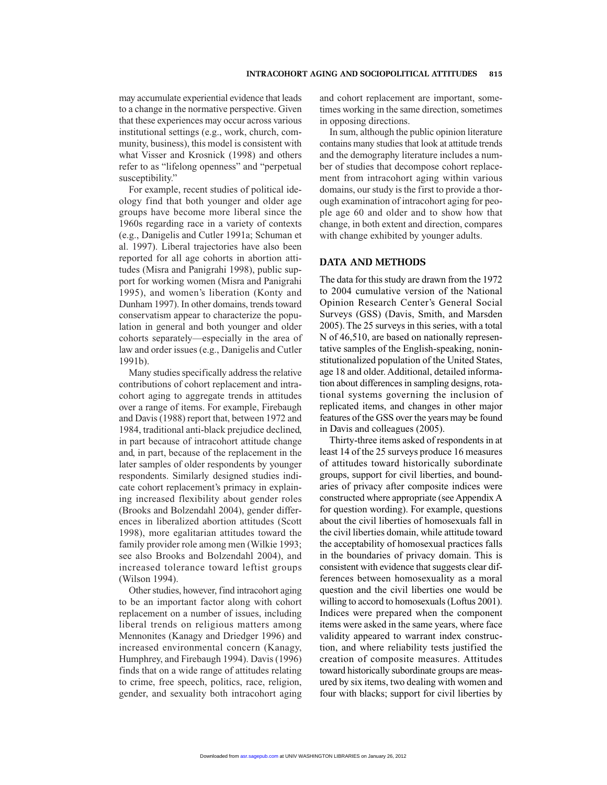may accumulate experiential evidence that leads to a change in the normative perspective. Given that these experiences may occur across various institutional settings (e.g., work, church, community, business), this model is consistent with what Visser and Krosnick (1998) and others refer to as "lifelong openness" and "perpetual susceptibility."

For example, recent studies of political ideology find that both younger and older age groups have become more liberal since the 1960s regarding race in a variety of contexts (e.g., Danigelis and Cutler 1991a; Schuman et al. 1997). Liberal trajectories have also been reported for all age cohorts in abortion attitudes (Misra and Panigrahi 1998), public support for working women (Misra and Panigrahi 1995), and women's liberation (Konty and Dunham 1997). In other domains, trends toward conservatism appear to characterize the population in general and both younger and older cohorts separately—especially in the area of law and order issues (e.g., Danigelis and Cutler 1991b).

Many studies specifically address the relative contributions of cohort replacement and intracohort aging to aggregate trends in attitudes over a range of items. For example, Firebaugh and Davis (1988) report that, between 1972 and 1984, traditional anti-black prejudice declined, in part because of intracohort attitude change and, in part, because of the replacement in the later samples of older respondents by younger respondents. Similarly designed studies indicate cohort replacement's primacy in explaining increased flexibility about gender roles (Brooks and Bolzendahl 2004), gender differences in liberalized abortion attitudes (Scott 1998), more egalitarian attitudes toward the family provider role among men (Wilkie 1993; see also Brooks and Bolzendahl 2004), and increased tolerance toward leftist groups (Wilson 1994).

Other studies, however, find intracohort aging to be an important factor along with cohort replacement on a number of issues, including liberal trends on religious matters among Mennonites (Kanagy and Driedger 1996) and increased environmental concern (Kanagy, Humphrey, and Firebaugh 1994). Davis (1996) finds that on a wide range of attitudes relating to crime, free speech, politics, race, religion, gender, and sexuality both intracohort aging and cohort replacement are important, sometimes working in the same direction, sometimes in opposing directions.

In sum, although the public opinion literature contains many studies that look at attitude trends and the demography literature includes a number of studies that decompose cohort replacement from intracohort aging within various domains, our study is the first to provide a thorough examination of intracohort aging for people age 60 and older and to show how that change, in both extent and direction, compares with change exhibited by younger adults.

# **DATA AND METHODS**

The data for this study are drawn from the 1972 to 2004 cumulative version of the National Opinion Research Center's General Social Surveys (GSS) (Davis, Smith, and Marsden 2005). The 25 surveys in this series, with a total N of 46,510, are based on nationally representative samples of the English-speaking, noninstitutionalized population of the United States, age 18 and older. Additional, detailed information about differences in sampling designs, rotational systems governing the inclusion of replicated items, and changes in other major features of the GSS over the years may be found in Davis and colleagues (2005).

Thirty-three items asked of respondents in at least 14 of the 25 surveys produce 16 measures of attitudes toward historically subordinate groups, support for civil liberties, and boundaries of privacy after composite indices were constructed where appropriate (see Appendix A for question wording). For example, questions about the civil liberties of homosexuals fall in the civil liberties domain, while attitude toward the acceptability of homosexual practices falls in the boundaries of privacy domain. This is consistent with evidence that suggests clear differences between homosexuality as a moral question and the civil liberties one would be willing to accord to homosexuals (Loftus 2001). Indices were prepared when the component items were asked in the same years, where face validity appeared to warrant index construction, and where reliability tests justified the creation of composite measures. Attitudes toward historically subordinate groups are measured by six items, two dealing with women and four with blacks; support for civil liberties by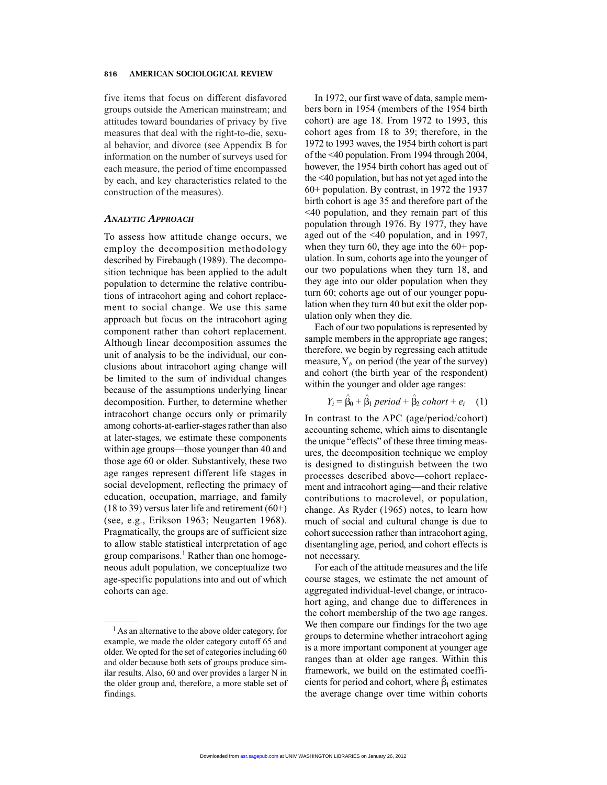five items that focus on different disfavored groups outside the American mainstream; and attitudes toward boundaries of privacy by five measures that deal with the right-to-die, sexual behavior, and divorce (see Appendix B for information on the number of surveys used for each measure, the period of time encompassed by each, and key characteristics related to the construction of the measures).

## *ANALYTIC APPROACH*

To assess how attitude change occurs, we employ the decomposition methodology described by Firebaugh (1989). The decomposition technique has been applied to the adult population to determine the relative contributions of intracohort aging and cohort replacement to social change. We use this same approach but focus on the intracohort aging component rather than cohort replacement. Although linear decomposition assumes the unit of analysis to be the individual, our conclusions about intracohort aging change will be limited to the sum of individual changes because of the assumptions underlying linear decomposition. Further, to determine whether intracohort change occurs only or primarily among cohorts-at-earlier-stages rather than also at later-stages, we estimate these components within age groups—those younger than 40 and those age 60 or older. Substantively, these two age ranges represent different life stages in social development, reflecting the primacy of education, occupation, marriage, and family  $(18 \text{ to } 39)$  versus later life and retirement  $(60+)$ (see, e.g., Erikson 1963; Neugarten 1968). Pragmatically, the groups are of sufficient size to allow stable statistical interpretation of age group comparisons.<sup>1</sup> Rather than one homogeneous adult population, we conceptualize two age-specific populations into and out of which cohorts can age.

In 1972, our first wave of data, sample members born in 1954 (members of the 1954 birth cohort) are age 18. From 1972 to 1993, this cohort ages from 18 to 39; therefore, in the 1972 to 1993 waves, the 1954 birth cohort is part of the <40 population. From 1994 through 2004, however, the 1954 birth cohort has aged out of the <40 population, but has not yet aged into the 60+ population. By contrast, in 1972 the 1937 birth cohort is age 35 and therefore part of the <40 population, and they remain part of this population through 1976. By 1977, they have aged out of the <40 population, and in 1997, when they turn 60, they age into the  $60+$  population. In sum, cohorts age into the younger of our two populations when they turn 18, and they age into our older population when they turn 60; cohorts age out of our younger population when they turn 40 but exit the older population only when they die.

Each of our two populations is represented by sample members in the appropriate age ranges; therefore, we begin by regressing each attitude measure,  $Y_i$  on period (the year of the survey) and cohort (the birth year of the respondent) within the younger and older age ranges:

$$
Y_i = \hat{\beta}_0 + \hat{\beta}_1 \, period + \hat{\beta}_2 \, cohort + e_i \quad (1)
$$

In contrast to the APC (age/period/cohort) accounting scheme, which aims to disentangle the unique "effects" of these three timing measures, the decomposition technique we employ is designed to distinguish between the two processes described above—cohort replacement and intracohort aging—and their relative contributions to macrolevel, or population, change. As Ryder (1965) notes, to learn how much of social and cultural change is due to cohort succession rather than intracohort aging, disentangling age, period, and cohort effects is not necessary.

For each of the attitude measures and the life course stages, we estimate the net amount of aggregated individual-level change, or intracohort aging, and change due to differences in the cohort membership of the two age ranges. We then compare our findings for the two age groups to determine whether intracohort aging is a more important component at younger age ranges than at older age ranges. Within this framework, we build on the estimated coefficients for period and cohort, where  $\hat{\beta}_l$  estimates the average change over time within cohorts

 $<sup>1</sup>$  As an alternative to the above older category, for</sup> example, we made the older category cutoff 65 and older. We opted for the set of categories including 60 and older because both sets of groups produce similar results. Also, 60 and over provides a larger N in the older group and, therefore, a more stable set of findings.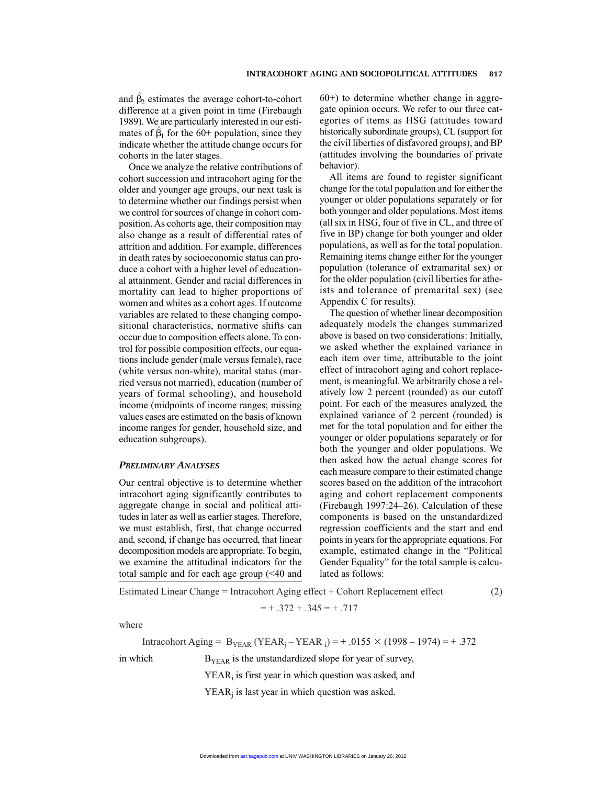and  $\hat{\beta}_2$  estimates the average cohort-to-cohort difference at a given point in time (Firebaugh 1989). We are particularly interested in our estimates of  $\hat{\beta}_1$  for the 60+ population, since they indicate whether the attitude change occurs for cohorts in the later stages.

Once we analyze the relative contributions of cohort succession and intracohort aging for the older and younger age groups, our next task is to determine whether our findings persist when we control for sources of change in cohort composition. As cohorts age, their composition may also change as a result of differential rates of attrition and addition. For example, differences in death rates by socioeconomic status can produce a cohort with a higher level of educational attainment. Gender and racial differences in mortality can lead to higher proportions of women and whites as a cohort ages. If outcome variables are related to these changing compositional characteristics, normative shifts can occur due to composition effects alone. To control for possible composition effects, our equations include gender (male versus female), race (white versus non-white), marital status (married versus not married), education (number of years of formal schooling), and household income (midpoints of income ranges; missing values cases are estimated on the basis of known income ranges for gender, household size, and education subgroups).

## *PRELIMINARY ANALYSES*

Our central objective is to determine whether intracohort aging significantly contributes to aggregate change in social and political attitudes in later as well as earlier stages. Therefore, we must establish, first, that change occurred and, second, if change has occurred, that linear decomposition models are appropriate. To begin, we examine the attitudinal indicators for the total sample and for each age group (<40 and 60+) to determine whether change in aggregate opinion occurs. We refer to our three categories of items as HSG (attitudes toward historically subordinate groups), CL (support for the civil liberties of disfavored groups), and BP (attitudes involving the boundaries of private behavior).

All items are found to register significant change for the total population and for either the younger or older populations separately or for both younger and older populations. Most items (all six in HSG, four of five in CL, and three of five in BP) change for both younger and older populations, as well as for the total population. Remaining items change either for the younger population (tolerance of extramarital sex) or for the older population (civil liberties for atheists and tolerance of premarital sex) (see Appendix C for results).

The question of whether linear decomposition adequately models the changes summarized above is based on two considerations: Initially, we asked whether the explained variance in each item over time, attributable to the joint effect of intracohort aging and cohort replacement, is meaningful. We arbitrarily chose a relatively low 2 percent (rounded) as our cutoff point. For each of the measures analyzed, the explained variance of 2 percent (rounded) is met for the total population and for either the younger or older populations separately or for both the younger and older populations. We then asked how the actual change scores for each measure compare to their estimated change scores based on the addition of the intracohort aging and cohort replacement components (Firebaugh 1997:24–26). Calculation of these components is based on the unstandardized regression coefficients and the start and end points in years for the appropriate equations. For example, estimated change in the "Political Gender Equality" for the total sample is calculated as follows:

$$
Estimated Linear Change = Intracohort Aging effect + Cohort Replacement effect
$$
 (2)

$$
= + .372 + .345 = + .717
$$

where

Intracohort Aging =  $B_{YEAR} (YEAR_j - YEAR_i) = +0.0155 \times (1998 - 1974) = +0.372$ in which  $B_{YEAR}$  is the unstandardized slope for year of survey, YEAR<sub>i</sub> is first year in which question was asked, and  $YEAR_i$  is last year in which question was asked.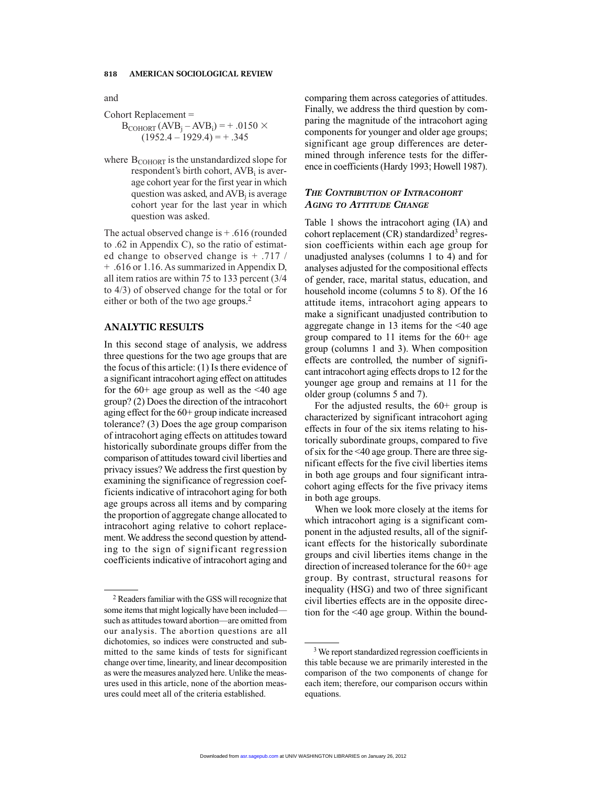and

Colort Replacement =

\n
$$
B_{\text{COHORT}}(\text{AVB}_{j} - \text{AVB}_{i}) = +.0150 \times (1952.4 - 1929.4) = +.345
$$

where  $B_{\text{COHORT}}$  is the unstandardized slope for respondent's birth cohort, AVB<sub>i</sub> is average cohort year for the first year in which question was asked, and  $AVB_i$  is average cohort year for the last year in which question was asked.

The actual observed change is  $+ .616$  (rounded to .62 in Appendix C), so the ratio of estimated change to observed change is + .717 / + .616 or 1.16. As summarized in Appendix D, all item ratios are within 75 to 133 percent (3/4 to 4/3) of observed change for the total or for either or both of the two age groups.<sup>2</sup>

# **ANALYTIC RESULTS**

In this second stage of analysis, we address three questions for the two age groups that are the focus of this article: (1) Is there evidence of a significant intracohort aging effect on attitudes for the  $60+$  age group as well as the  $\leq 40$  age group? (2) Does the direction of the intracohort aging effect for the 60+ group indicate increased tolerance? (3) Does the age group comparison of intracohort aging effects on attitudes toward historically subordinate groups differ from the comparison of attitudes toward civil liberties and privacy issues? We address the first question by examining the significance of regression coefficients indicative of intracohort aging for both age groups across all items and by comparing the proportion of aggregate change allocated to intracohort aging relative to cohort replacement. We address the second question by attending to the sign of significant regression coefficients indicative of intracohort aging and

comparing them across categories of attitudes. Finally, we address the third question by comparing the magnitude of the intracohort aging components for younger and older age groups; significant age group differences are determined through inference tests for the difference in coefficients (Hardy 1993; Howell 1987).

## *THE CONTRIBUTION OF INTRACOHORT AGING TO ATTITUDE CHANGE*

Table 1 shows the intracohort aging (IA) and cohort replacement  $(CR)$  standardized<sup>3</sup> regression coefficients within each age group for unadjusted analyses (columns 1 to 4) and for analyses adjusted for the compositional effects of gender, race, marital status, education, and household income (columns 5 to 8). Of the 16 attitude items, intracohort aging appears to make a significant unadjusted contribution to aggregate change in 13 items for the <40 age group compared to 11 items for the 60+ age group (columns 1 and 3). When composition effects are controlled, the number of significant intracohort aging effects drops to 12 for the younger age group and remains at 11 for the older group (columns 5 and 7).

For the adjusted results, the 60+ group is characterized by significant intracohort aging effects in four of the six items relating to historically subordinate groups, compared to five of six for the <40 age group. There are three significant effects for the five civil liberties items in both age groups and four significant intracohort aging effects for the five privacy items in both age groups.

When we look more closely at the items for which intracohort aging is a significant component in the adjusted results, all of the significant effects for the historically subordinate groups and civil liberties items change in the direction of increased tolerance for the 60+ age group. By contrast, structural reasons for inequality (HSG) and two of three significant civil liberties effects are in the opposite direction for the <40 age group. Within the bound-

<sup>2</sup> Readers familiar with the GSS will recognize that some items that might logically have been included such as attitudes toward abortion—are omitted from our analysis. The abortion questions are all dichotomies, so indices were constructed and submitted to the same kinds of tests for significant change over time, linearity, and linear decomposition as were the measures analyzed here. Unlike the measures used in this article, none of the abortion measures could meet all of the criteria established.

<sup>3</sup> We report standardized regression coefficients in this table because we are primarily interested in the comparison of the two components of change for each item; therefore, our comparison occurs within equations.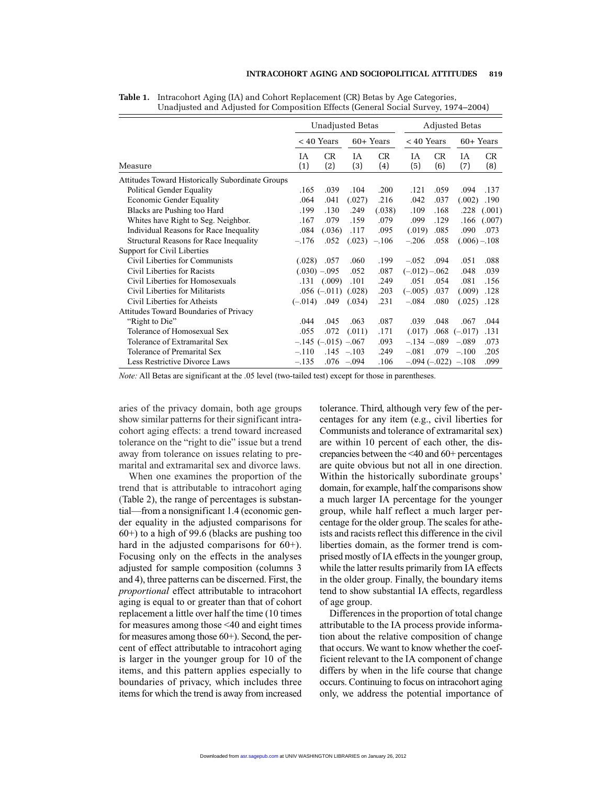|                                                  | Unadjusted Betas |                     |                   |             |                     | <b>Adjusted Betas</b> |                 |             |
|--------------------------------------------------|------------------|---------------------|-------------------|-------------|---------------------|-----------------------|-----------------|-------------|
|                                                  |                  | $<$ 40 Years        |                   | $60+$ Years | $< 40$ Years        |                       |                 | $60+$ Years |
|                                                  | IA               | CR                  | IA                | CR          | IA                  | CR                    | IA              | CR          |
| Measure                                          | (1)              | (2)                 | $\left( 3\right)$ | (4)         | (5)                 | (6)                   | (7)             | (8)         |
| Attitudes Toward Historically Subordinate Groups |                  |                     |                   |             |                     |                       |                 |             |
| Political Gender Equality                        | .165             | .039                | .104              | .200        | .121                | .059                  | .094            | .137        |
| Economic Gender Equality                         | .064             | .041                | (.027)            | .216        | .042                | .037                  | (.002)          | .190        |
| Blacks are Pushing too Hard                      | .199             | .130                | .249              | (.038)      | .109                | .168                  | .228            | (.001)      |
| Whites have Right to Seg. Neighbor.              | .167             | .079                | .159              | .079        | .099                | .129                  | .166            | (.007)      |
| Individual Reasons for Race Inequality           | .084             | (.036)              | .117              | .095        | (.019)              | .085                  | .090            | .073        |
| Structural Reasons for Race Inequality           | $-.176$          | .052                | (.023)            | $-.106$     | $-.206$             | .058                  | $(.006) - .108$ |             |
| Support for Civil Liberties                      |                  |                     |                   |             |                     |                       |                 |             |
| Civil Liberties for Communists                   | (.028)           | .057                | .060              | .199        | $-.052$             | .094                  | .051            | .088        |
| Civil Liberties for Racists                      | $(.030) - .095$  |                     | .052              | .087        | $(-.012) - .062$    |                       | .048            | .039        |
| Civil Liberties for Homosexuals                  |                  | $.131$ $(.009)$     | .101              | .249        | .051                | .054                  | .081            | .156        |
| Civil Liberties for Militarists                  |                  | $.056(-.011)$       | (.028)            | .203        | $(-.005)$           | .037                  | (.009)          | .128        |
| Civil Liberties for Atheists                     | $(-.014)$        | .049                | (.034)            | .231        | $-.084$             | .080                  | (.025)          | .128        |
| Attitudes Toward Boundaries of Privacy           |                  |                     |                   |             |                     |                       |                 |             |
| "Right to Die"                                   | .044             | .045                | .063              | .087        | .039                | .048                  | .067            | .044        |
| Tolerance of Homosexual Sex                      | .055             | .072                | (.011)            | .171        | (.017)              | .068                  | $(-.017)$       | .131        |
| Tolerance of Extramarital Sex                    |                  | $-.145 (-015) -067$ |                   | .093        | $-.134-.089$        |                       | $-.089$         | .073        |
| Tolerance of Premarital Sex                      | $-.110$          |                     | $.145 - .103$     | .249        | $-.081$             | .079                  | $-.100$         | .205        |
| Less Restrictive Divorce Laws                    | $-.135$          |                     | $.076 - .094$     | .106        | $-.094 (-022) -108$ |                       |                 | .099        |

**Table 1.** Intracohort Aging (IA) and Cohort Replacement (CR) Betas by Age Categories, Unadjusted and Adjusted for Composition Effects (General Social Survey, 1974–2004)

*Note:* All Betas are significant at the .05 level (two-tailed test) except for those in parentheses.

aries of the privacy domain, both age groups show similar patterns for their significant intracohort aging effects: a trend toward increased tolerance on the "right to die" issue but a trend away from tolerance on issues relating to premarital and extramarital sex and divorce laws.

When one examines the proportion of the trend that is attributable to intracohort aging (Table 2), the range of percentages is substantial—from a nonsignificant 1.4 (economic gender equality in the adjusted comparisons for  $60+)$  to a high of 99.6 (blacks are pushing too hard in the adjusted comparisons for 60+). Focusing only on the effects in the analyses adjusted for sample composition (columns 3 and 4), three patterns can be discerned. First, the *proportional* effect attributable to intracohort aging is equal to or greater than that of cohort replacement a little over half the time (10 times for measures among those <40 and eight times for measures among those 60+). Second, the percent of effect attributable to intracohort aging is larger in the younger group for 10 of the items, and this pattern applies especially to boundaries of privacy, which includes three items for which the trend is away from increased

tolerance. Third, although very few of the percentages for any item (e.g., civil liberties for Communists and tolerance of extramarital sex) are within 10 percent of each other, the discrepancies between the <40 and 60+ percentages are quite obvious but not all in one direction. Within the historically subordinate groups' domain, for example, half the comparisons show a much larger IA percentage for the younger group, while half reflect a much larger percentage for the older group. The scales for atheists and racists reflect this difference in the civil liberties domain, as the former trend is comprised mostly of IA effects in the younger group, while the latter results primarily from IA effects in the older group. Finally, the boundary items tend to show substantial IA effects, regardless of age group.

Differences in the proportion of total change attributable to the IA process provide information about the relative composition of change that occurs. We want to know whether the coefficient relevant to the IA component of change differs by when in the life course that change occurs. Continuing to focus on intracohort aging only, we address the potential importance of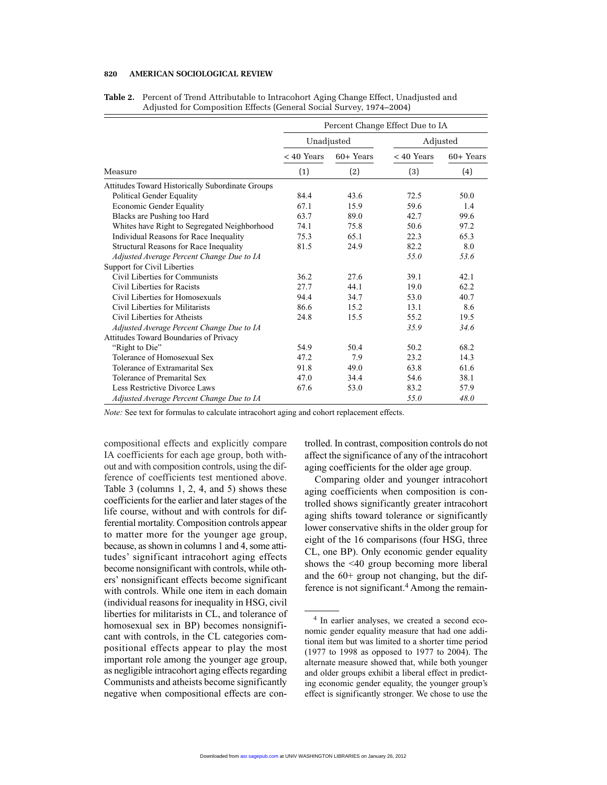|                                                  | Percent Change Effect Due to IA |             |              |             |  |  |
|--------------------------------------------------|---------------------------------|-------------|--------------|-------------|--|--|
|                                                  | Unadjusted                      |             |              | Adjusted    |  |  |
|                                                  | $< 40$ Years                    | $60+$ Years | $< 40$ Years | $60+$ Years |  |  |
| Measure                                          | (1)                             | (2)         | (3)          | (4)         |  |  |
| Attitudes Toward Historically Subordinate Groups |                                 |             |              |             |  |  |
| Political Gender Equality                        | 84.4                            | 43.6        | 72.5         | 50.0        |  |  |
| <b>Economic Gender Equality</b>                  | 67.1                            | 15.9        | 59.6         | 1.4         |  |  |
| Blacks are Pushing too Hard                      | 63.7                            | 89.0        | 42.7         | 99.6        |  |  |
| Whites have Right to Segregated Neighborhood     | 74.1                            | 75.8        | 50.6         | 97.2        |  |  |
| Individual Reasons for Race Inequality           | 75.3                            | 65.1        | 22.3         | 65.3        |  |  |
| Structural Reasons for Race Inequality           | 81.5                            | 24.9        | 82.2         | 8.0         |  |  |
| Adjusted Average Percent Change Due to IA        |                                 |             | 55.0         | 53.6        |  |  |
| Support for Civil Liberties                      |                                 |             |              |             |  |  |
| Civil Liberties for Communists                   | 36.2                            | 27.6        | 39.1         | 42.1        |  |  |
| Civil Liberties for Racists                      | 27.7                            | 44.1        | 19.0         | 62.2        |  |  |
| Civil Liberties for Homosexuals                  | 94.4                            | 34.7        | 53.0         | 40.7        |  |  |
| Civil Liberties for Militarists                  | 86.6                            | 15.2        | 13.1         | 8.6         |  |  |
| Civil Liberties for Atheists                     | 24.8                            | 15.5        | 55.2         | 19.5        |  |  |
| Adjusted Average Percent Change Due to IA        |                                 |             | 35.9         | 34.6        |  |  |
| Attitudes Toward Boundaries of Privacy           |                                 |             |              |             |  |  |
| "Right to Die"                                   | 54.9                            | 50.4        | 50.2         | 68.2        |  |  |
| Tolerance of Homosexual Sex                      | 47.2                            | 7.9         | 23.2         | 14.3        |  |  |
| Tolerance of Extramarital Sex                    | 91.8                            | 49.0        | 63.8         | 61.6        |  |  |
| Tolerance of Premarital Sex                      | 47.0                            | 34.4        | 54.6         | 38.1        |  |  |
| Less Restrictive Divorce Laws                    | 67.6                            | 53.0        | 83.2         | 57.9        |  |  |
| Adjusted Average Percent Change Due to IA        |                                 |             | 55.0         | 48.0        |  |  |

| <b>Table 2.</b> Percent of Trend Attributable to Intracohort Aging Change Effect, Unadjusted and |  |
|--------------------------------------------------------------------------------------------------|--|
| Adjusted for Composition Effects (General Social Survey, 1974–2004)                              |  |

*Note:* See text for formulas to calculate intracohort aging and cohort replacement effects.

compositional effects and explicitly compare IA coefficients for each age group, both without and with composition controls, using the difference of coefficients test mentioned above. Table 3 (columns 1, 2, 4, and 5) shows these coefficients for the earlier and later stages of the life course, without and with controls for differential mortality. Composition controls appear to matter more for the younger age group, because, as shown in columns 1 and 4, some attitudes' significant intracohort aging effects become nonsignificant with controls, while others' nonsignificant effects become significant with controls. While one item in each domain (individual reasons for inequality in HSG, civil liberties for militarists in CL, and tolerance of homosexual sex in BP) becomes nonsignificant with controls, in the CL categories compositional effects appear to play the most important role among the younger age group, as negligible intracohort aging effects regarding Communists and atheists become significantly negative when compositional effects are controlled. In contrast, composition controls do not affect the significance of any of the intracohort aging coefficients for the older age group.

Comparing older and younger intracohort aging coefficients when composition is controlled shows significantly greater intracohort aging shifts toward tolerance or significantly lower conservative shifts in the older group for eight of the 16 comparisons (four HSG, three CL, one BP). Only economic gender equality shows the <40 group becoming more liberal and the 60+ group not changing, but the difference is not significant.<sup>4</sup> Among the remain-

<sup>4</sup> In earlier analyses, we created a second economic gender equality measure that had one additional item but was limited to a shorter time period (1977 to 1998 as opposed to 1977 to 2004). The alternate measure showed that, while both younger and older groups exhibit a liberal effect in predicting economic gender equality, the younger group's effect is significantly stronger. We chose to use the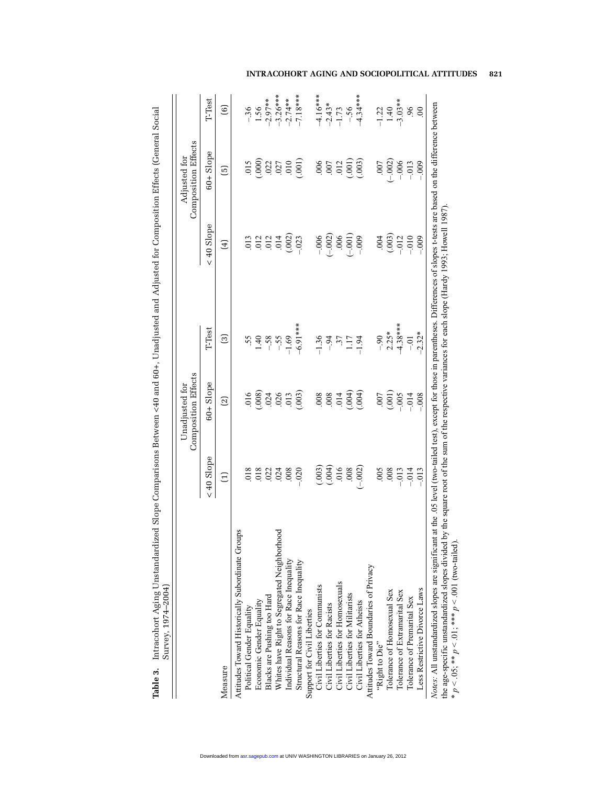| l<br>I<br>١<br>l<br>I<br>ļ<br>j<br>l<br>ا<br>الم<br>l<br>١<br>I<br>١<br>l<br>l | I<br>I<br>l |  |
|--------------------------------------------------------------------------------|-------------|--|
|                                                                                |             |  |

|                                                                                                                                                                                                                                                                      |              | Composition Effects<br>Unadjusted for |             |                                                                                                                                        | Composition Effects<br>Adjusted for |            |
|----------------------------------------------------------------------------------------------------------------------------------------------------------------------------------------------------------------------------------------------------------------------|--------------|---------------------------------------|-------------|----------------------------------------------------------------------------------------------------------------------------------------|-------------------------------------|------------|
|                                                                                                                                                                                                                                                                      | $< 40$ Slope | $60 + Slope$                          | T-Test      | $< 40$ Slope                                                                                                                           | $60 + Slope$                        | T-Test     |
| Measure                                                                                                                                                                                                                                                              | $\Xi$        | $\overline{2}$                        | ල           | E                                                                                                                                      | ල                                   | $\odot$    |
| Attitudes Toward Historically Subordinate Groups                                                                                                                                                                                                                     |              |                                       |             |                                                                                                                                        |                                     |            |
| Political Gender Equality                                                                                                                                                                                                                                            | 018          | 016                                   | .55         | 013                                                                                                                                    | 015                                 | $-36$      |
| Economic Gender Equality                                                                                                                                                                                                                                             | .018         | (008)                                 | 1.40        | $012$<br>$012$                                                                                                                         |                                     | 1.56       |
| Blacks are Pushing too Hard                                                                                                                                                                                                                                          | 022          | .024                                  | $-58$       |                                                                                                                                        |                                     | $-2.97**$  |
| Whites have Right to Segregated Neighborhood                                                                                                                                                                                                                         | .024         | .026                                  | $-55$       | .014                                                                                                                                   |                                     | $-3.26***$ |
| Individual Reasons for Race Inequality                                                                                                                                                                                                                               | .008         | .013                                  | $-1.69$     | (.002)                                                                                                                                 |                                     | $-2.74**$  |
| Structural Reasons for Race Inequality                                                                                                                                                                                                                               | $-0.020$     | (003)                                 | $-6.91***$  | $-0.023$                                                                                                                               | (001)                               | $-7.18***$ |
| Support for Civil Liberties                                                                                                                                                                                                                                          |              |                                       |             |                                                                                                                                        |                                     |            |
| Civil Liberties for Communists                                                                                                                                                                                                                                       | (.003)       | .008                                  | $-1.36$     | $-0.006$                                                                                                                               | .006                                | $-4.16***$ |
| Civil Liberties for Racists                                                                                                                                                                                                                                          | (.004)       | 008                                   | $-94$       | $(-.002)$                                                                                                                              | $007$<br>$012$                      | $-2.43*$   |
| Civil Liberties for Homosexuals                                                                                                                                                                                                                                      | 016          | 014                                   | $\ddot{37}$ | .006                                                                                                                                   |                                     | $-1.73$    |
| Civil Liberties for Militarists                                                                                                                                                                                                                                      | .008         | (004)                                 | 1.17        | $(-.001)$                                                                                                                              | (.001)                              | $-56$      |
| Civil Liberties for Atheists                                                                                                                                                                                                                                         | $(-.002)$    | (600)                                 | $-1.94$     | $-0.009$                                                                                                                               | (.003)                              | $-4.34***$ |
| Attitudes Toward Boundaries of Privacy                                                                                                                                                                                                                               |              |                                       |             |                                                                                                                                        |                                     |            |
| "Right to $Die"$                                                                                                                                                                                                                                                     | 005          | 007                                   | $-90$       | 004                                                                                                                                    | 007                                 | $-1.22$    |
| Tolerance of Homosexual Sex                                                                                                                                                                                                                                          | .008         | (.001)                                | $2.25*$     | (.003)                                                                                                                                 | $-002$                              | 1.40       |
| Tolerance of Extramarital Sex                                                                                                                                                                                                                                        | $-.013$      | $-005$                                | $-4.38***$  | $-.012$                                                                                                                                | $-0.006$                            | $-3.03**$  |
| Tolerance of Premarital Sex                                                                                                                                                                                                                                          | $-.014$      | $-.014$                               | $-5$        | $-0.010$                                                                                                                               | $-.013$                             | 96.        |
| Less Restrictive Divorce Laws                                                                                                                                                                                                                                        | $-.013$      | $-0.008$                              | $-2.32*$    | $-0.009$                                                                                                                               | $-0.009$                            | $\infty$   |
| the age-specific unstandardized slopes divided by the square root of the sum of the respective variances for each slope (Hardy 1993; Howell 1987)<br>Notes: All unstandardized slopes are significant<br>* $p < 0.05$ ; ** $p < 0.01$ ; *** $p < 0.01$ (two-tailed). |              |                                       |             | at the .05 level (two-tailed test), except for those in parentheses. Differences of slopes t-tests are based on the difference between |                                     |            |

**INTRACOHORT AGING AND SOCIOPOLITICAL ATTITUDES—–821**

Downloaded from [asr.sagepub.com](http://asr.sagepub.com/) at UNIV WASHINGTON LIBRARIES on January 26, 2012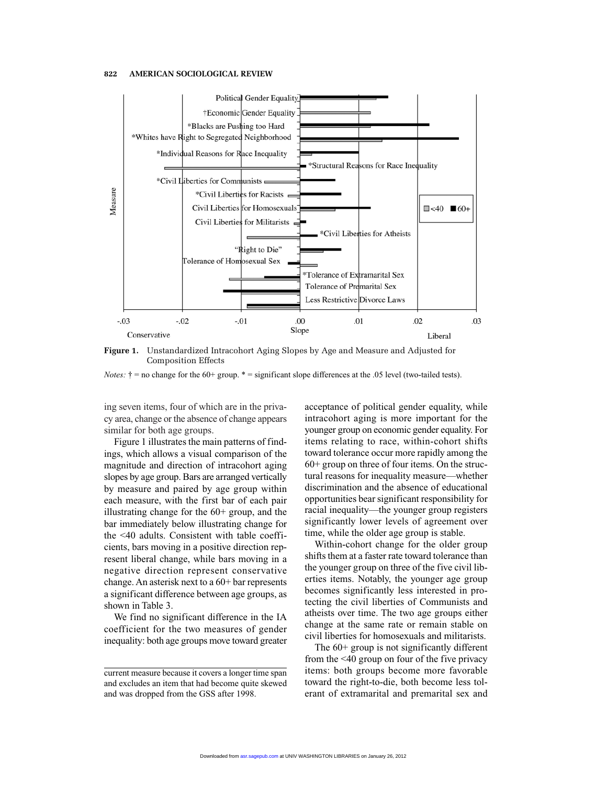

**Figure 1.** Unstandardized Intracohort Aging Slopes by Age and Measure and Adjusted for Composition Effects

*Notes:*  $\dagger$  = no change for the 60+ group. \* = significant slope differences at the .05 level (two-tailed tests).

ing seven items, four of which are in the privacy area, change or the absence of change appears similar for both age groups.

Figure 1 illustrates the main patterns of findings, which allows a visual comparison of the magnitude and direction of intracohort aging slopes by age group. Bars are arranged vertically by measure and paired by age group within each measure, with the first bar of each pair illustrating change for the 60+ group, and the bar immediately below illustrating change for the <40 adults. Consistent with table coefficients, bars moving in a positive direction represent liberal change, while bars moving in a negative direction represent conservative change. An asterisk next to a 60+ bar represents a significant difference between age groups, as shown in Table 3.

We find no significant difference in the IA coefficient for the two measures of gender inequality: both age groups move toward greater acceptance of political gender equality, while intracohort aging is more important for the younger group on economic gender equality. For items relating to race, within-cohort shifts toward tolerance occur more rapidly among the 60+ group on three of four items. On the structural reasons for inequality measure—whether discrimination and the absence of educational opportunities bear significant responsibility for racial inequality—the younger group registers significantly lower levels of agreement over time, while the older age group is stable.

Within-cohort change for the older group shifts them at a faster rate toward tolerance than the younger group on three of the five civil liberties items. Notably, the younger age group becomes significantly less interested in protecting the civil liberties of Communists and atheists over time. The two age groups either change at the same rate or remain stable on civil liberties for homosexuals and militarists.

The 60+ group is not significantly different from the <40 group on four of the five privacy items: both groups become more favorable toward the right-to-die, both become less tolerant of extramarital and premarital sex and

current measure because it covers a longer time span and excludes an item that had become quite skewed and was dropped from the GSS after 1998.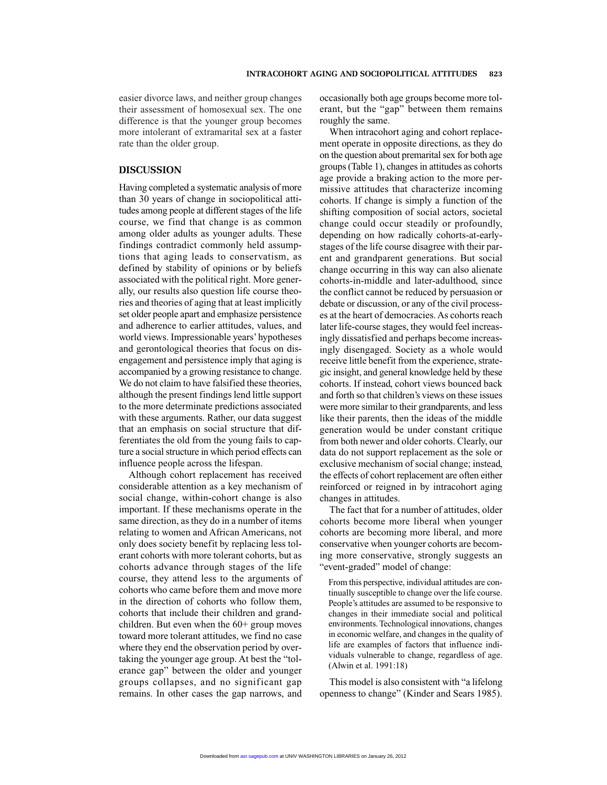easier divorce laws, and neither group changes their assessment of homosexual sex. The one difference is that the younger group becomes more intolerant of extramarital sex at a faster rate than the older group.

## **DISCUSSION**

Having completed a systematic analysis of more than 30 years of change in sociopolitical attitudes among people at different stages of the life course, we find that change is as common among older adults as younger adults. These findings contradict commonly held assumptions that aging leads to conservatism, as defined by stability of opinions or by beliefs associated with the political right. More generally, our results also question life course theories and theories of aging that at least implicitly set older people apart and emphasize persistence and adherence to earlier attitudes, values, and world views. Impressionable years'hypotheses and gerontological theories that focus on disengagement and persistence imply that aging is accompanied by a growing resistance to change. We do not claim to have falsified these theories, although the present findings lend little support to the more determinate predictions associated with these arguments. Rather, our data suggest that an emphasis on social structure that differentiates the old from the young fails to capture a social structure in which period effects can influence people across the lifespan.

Although cohort replacement has received considerable attention as a key mechanism of social change, within-cohort change is also important. If these mechanisms operate in the same direction, as they do in a number of items relating to women and African Americans, not only does society benefit by replacing less tolerant cohorts with more tolerant cohorts, but as cohorts advance through stages of the life course, they attend less to the arguments of cohorts who came before them and move more in the direction of cohorts who follow them, cohorts that include their children and grandchildren. But even when the 60+ group moves toward more tolerant attitudes, we find no case where they end the observation period by overtaking the younger age group. At best the "tolerance gap" between the older and younger groups collapses, and no significant gap remains. In other cases the gap narrows, and occasionally both age groups become more tolerant, but the "gap" between them remains roughly the same.

When intracohort aging and cohort replacement operate in opposite directions, as they do on the question about premarital sex for both age groups (Table 1), changes in attitudes as cohorts age provide a braking action to the more permissive attitudes that characterize incoming cohorts. If change is simply a function of the shifting composition of social actors, societal change could occur steadily or profoundly, depending on how radically cohorts-at-earlystages of the life course disagree with their parent and grandparent generations. But social change occurring in this way can also alienate cohorts-in-middle and later-adulthood, since the conflict cannot be reduced by persuasion or debate or discussion, or any of the civil processes at the heart of democracies. As cohorts reach later life-course stages, they would feel increasingly dissatisfied and perhaps become increasingly disengaged. Society as a whole would receive little benefit from the experience, strategic insight, and general knowledge held by these cohorts. If instead, cohort views bounced back and forth so that children's views on these issues were more similar to their grandparents, and less like their parents, then the ideas of the middle generation would be under constant critique from both newer and older cohorts. Clearly, our data do not support replacement as the sole or exclusive mechanism of social change; instead, the effects of cohort replacement are often either reinforced or reigned in by intracohort aging changes in attitudes.

The fact that for a number of attitudes, older cohorts become more liberal when younger cohorts are becoming more liberal, and more conservative when younger cohorts are becoming more conservative, strongly suggests an "event-graded" model of change:

From this perspective, individual attitudes are continually susceptible to change over the life course. People's attitudes are assumed to be responsive to changes in their immediate social and political environments. Technological innovations, changes in economic welfare, and changes in the quality of life are examples of factors that influence individuals vulnerable to change, regardless of age. (Alwin et al. 1991:18)

This model is also consistent with "a lifelong openness to change" (Kinder and Sears 1985).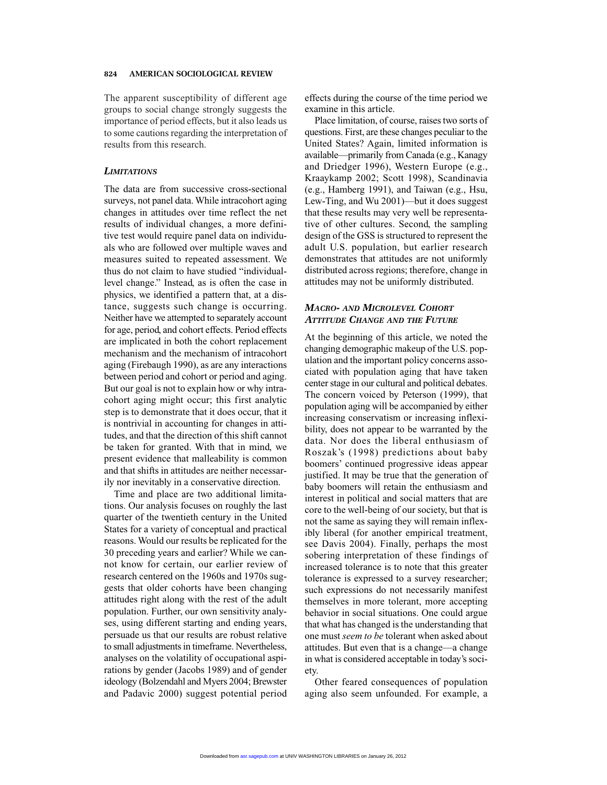The apparent susceptibility of different age groups to social change strongly suggests the importance of period effects, but it also leads us to some cautions regarding the interpretation of results from this research.

# *LIMITATIONS*

The data are from successive cross-sectional surveys, not panel data. While intracohort aging changes in attitudes over time reflect the net results of individual changes, a more definitive test would require panel data on individuals who are followed over multiple waves and measures suited to repeated assessment. We thus do not claim to have studied "individuallevel change." Instead, as is often the case in physics, we identified a pattern that, at a distance, suggests such change is occurring. Neither have we attempted to separately account for age, period, and cohort effects. Period effects are implicated in both the cohort replacement mechanism and the mechanism of intracohort aging (Firebaugh 1990), as are any interactions between period and cohort or period and aging. But our goal is not to explain how or why intracohort aging might occur; this first analytic step is to demonstrate that it does occur, that it is nontrivial in accounting for changes in attitudes, and that the direction of this shift cannot be taken for granted. With that in mind, we present evidence that malleability is common and that shifts in attitudes are neither necessarily nor inevitably in a conservative direction.

Time and place are two additional limitations. Our analysis focuses on roughly the last quarter of the twentieth century in the United States for a variety of conceptual and practical reasons. Would our results be replicated for the 30 preceding years and earlier? While we cannot know for certain, our earlier review of research centered on the 1960s and 1970s suggests that older cohorts have been changing attitudes right along with the rest of the adult population. Further, our own sensitivity analyses, using different starting and ending years, persuade us that our results are robust relative to small adjustments in timeframe. Nevertheless, analyses on the volatility of occupational aspirations by gender (Jacobs 1989) and of gender ideology (Bolzendahl and Myers 2004; Brewster and Padavic 2000) suggest potential period

effects during the course of the time period we examine in this article.

Place limitation, of course, raises two sorts of questions. First, are these changes peculiar to the United States? Again, limited information is available—primarily from Canada (e.g., Kanagy and Driedger 1996), Western Europe (e.g., Kraaykamp 2002; Scott 1998), Scandinavia (e.g., Hamberg 1991), and Taiwan (e.g., Hsu, Lew-Ting, and Wu 2001)—but it does suggest that these results may very well be representative of other cultures. Second, the sampling design of the GSS is structured to represent the adult U.S. population, but earlier research demonstrates that attitudes are not uniformly distributed across regions; therefore, change in attitudes may not be uniformly distributed.

## *MACRO- AND MICROLEVEL COHORT ATTITUDE CHANGE AND THE FUTURE*

At the beginning of this article, we noted the changing demographic makeup of the U.S. population and the important policy concerns associated with population aging that have taken center stage in our cultural and political debates. The concern voiced by Peterson (1999), that population aging will be accompanied by either increasing conservatism or increasing inflexibility, does not appear to be warranted by the data. Nor does the liberal enthusiasm of Roszak's (1998) predictions about baby boomers' continued progressive ideas appear justified. It may be true that the generation of baby boomers will retain the enthusiasm and interest in political and social matters that are core to the well-being of our society, but that is not the same as saying they will remain inflexibly liberal (for another empirical treatment, see Davis 2004). Finally, perhaps the most sobering interpretation of these findings of increased tolerance is to note that this greater tolerance is expressed to a survey researcher; such expressions do not necessarily manifest themselves in more tolerant, more accepting behavior in social situations. One could argue that what has changed is the understanding that one must *seem to be* tolerant when asked about attitudes. But even that is a change—a change in what is considered acceptable in today's society.

Other feared consequences of population aging also seem unfounded. For example, a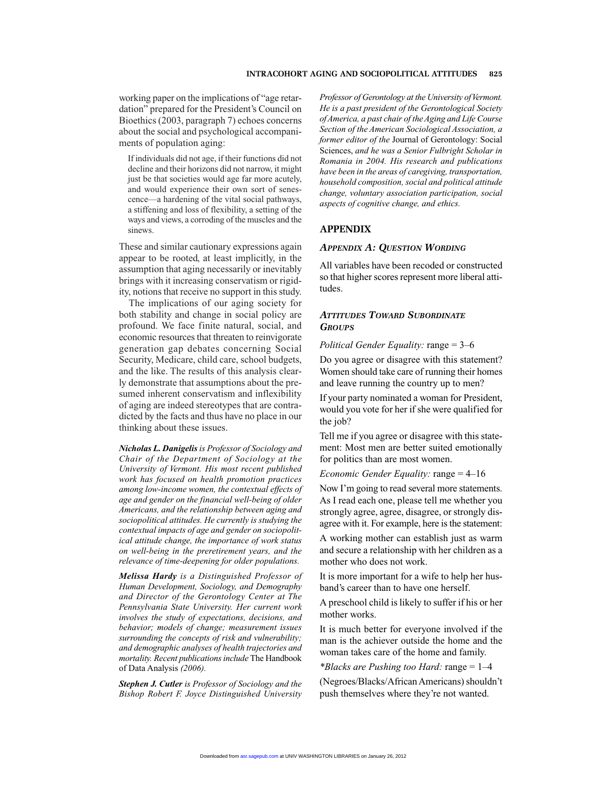working paper on the implications of "age retardation" prepared for the President's Council on Bioethics (2003, paragraph 7) echoes concerns about the social and psychological accompaniments of population aging:

If individuals did not age, if their functions did not decline and their horizons did not narrow, it might just be that societies would age far more acutely, and would experience their own sort of senescence—a hardening of the vital social pathways, a stiffening and loss of flexibility, a setting of the ways and views, a corroding of the muscles and the sinews.

These and similar cautionary expressions again appear to be rooted, at least implicitly, in the assumption that aging necessarily or inevitably brings with it increasing conservatism or rigidity, notions that receive no support in this study.

The implications of our aging society for both stability and change in social policy are profound. We face finite natural, social, and economic resources that threaten to reinvigorate generation gap debates concerning Social Security, Medicare, child care, school budgets, and the like. The results of this analysis clearly demonstrate that assumptions about the presumed inherent conservatism and inflexibility of aging are indeed stereotypes that are contradicted by the facts and thus have no place in our thinking about these issues.

*Nicholas L. Danigelis is Professor of Sociology and Chair of the Department of Sociology at the University of Vermont. His most recent published work has focused on health promotion practices among low-income women, the contextual effects of age and gender on the financial well-being of older Americans, and the relationship between aging and sociopolitical attitudes. He currently is studying the contextual impacts of age and gender on sociopolitical attitude change, the importance of work status on well-being in the preretirement years, and the relevance of time-deepening for older populations.*

*Melissa Hardy is a Distinguished Professor of Human Development, Sociology, and Demography and Director of the Gerontology Center at The Pennsylvania State University. Her current work involves the study of expectations, decisions, and behavior; models of change; measurement issues surrounding the concepts of risk and vulnerability; and demographic analyses of health trajectories and mortality. Recent publications include* The Handbook of Data Analysis *(2006).*

*Stephen J. Cutler is Professor of Sociology and the Bishop Robert F. Joyce Distinguished University*

*Professor of Gerontology at the University of Vermont. He is a past president of the Gerontological Society of America, a past chair of the Aging and Life Course Section of the American Sociological Association, a former editor of the* Journal of Gerontology: Social Sciences, *and he was a Senior Fulbright Scholar in Romania in 2004. His research and publications have been in the areas of caregiving, transportation, household composition, social and political attitude change, voluntary association participation, social aspects of cognitive change, and ethics.*

# **APPENDIX**

#### *APPENDIX A: QUESTION WORDING*

All variables have been recoded or constructed so that higher scores represent more liberal attitudes.

# *ATTITUDES TOWARD SUBORDINATE GROUPS*

## *Political Gender Equality:* range = 3–6

Do you agree or disagree with this statement? Women should take care of running their homes and leave running the country up to men?

If your party nominated a woman for President, would you vote for her if she were qualified for the job?

Tell me if you agree or disagree with this statement: Most men are better suited emotionally for politics than are most women.

# *Economic Gender Equality:* range = 4–16

Now I'm going to read several more statements. As I read each one, please tell me whether you strongly agree, agree, disagree, or strongly disagree with it. For example, here is the statement:

A working mother can establish just as warm and secure a relationship with her children as a mother who does not work.

It is more important for a wife to help her husband's career than to have one herself.

A preschool child is likely to suffer if his or her mother works.

It is much better for everyone involved if the man is the achiever outside the home and the woman takes care of the home and family.

*\*Blacks are Pushing too Hard:* range = 1–4 (Negroes/Blacks/African Americans) shouldn't

push themselves where they're not wanted.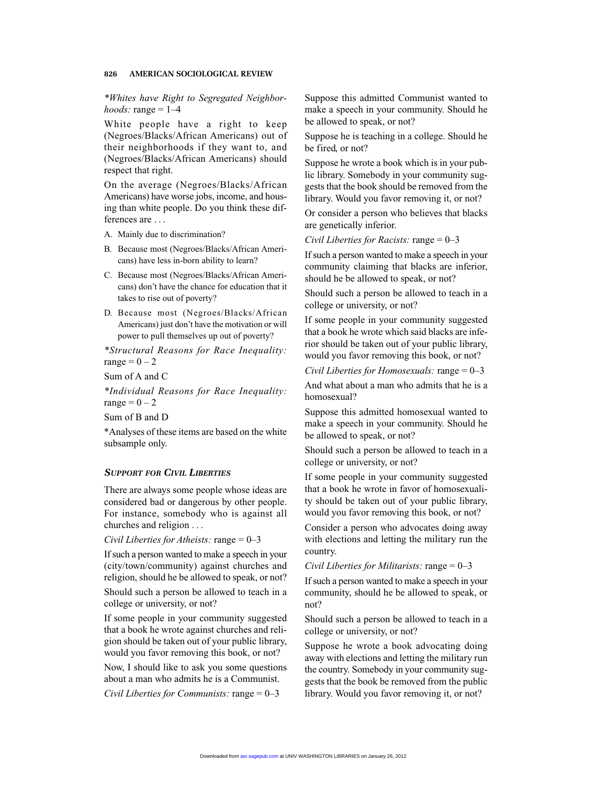*\*Whites have Right to Segregated Neighborhoods:* range  $= 1-4$ 

White people have a right to keep (Negroes/Blacks/African Americans) out of their neighborhoods if they want to, and (Negroes/Blacks/African Americans) should respect that right.

On the average (Negroes/Blacks/African Americans) have worse jobs, income, and housing than white people. Do you think these differences are ...

A. Mainly due to discrimination?

- B. Because most (Negroes/Blacks/African Americans) have less in-born ability to learn?
- C. Because most (Negroes/Blacks/African Americans) don't have the chance for education that it takes to rise out of poverty?
- D. Because most (Negroes/Blacks/African Americans) just don't have the motivation or will power to pull themselves up out of poverty?

*\*Structural Reasons for Race Inequality:* range  $= 0 - 2$ 

Sum of A and C

*\*Individual Reasons for Race Inequality:* range =  $0 - 2$ 

Sum of B and D

\*Analyses of these items are based on the white subsample only.

# *SUPPORT FOR CIVIL LIBERTIES*

There are always some people whose ideas are considered bad or dangerous by other people. For instance, somebody who is against all churches and religion ...

*Civil Liberties for Atheists:* range = 0–3

If such a person wanted to make a speech in your (city/town/community) against churches and religion, should he be allowed to speak, or not?

Should such a person be allowed to teach in a college or university, or not?

If some people in your community suggested that a book he wrote against churches and religion should be taken out of your public library, would you favor removing this book, or not?

Now, I should like to ask you some questions about a man who admits he is a Communist.

*Civil Liberties for Communists:* range = 0–3

Suppose this admitted Communist wanted to make a speech in your community. Should he be allowed to speak, or not?

Suppose he is teaching in a college. Should he be fired, or not?

Suppose he wrote a book which is in your public library. Somebody in your community suggests that the book should be removed from the library. Would you favor removing it, or not?

Or consider a person who believes that blacks are genetically inferior.

*Civil Liberties for Racists:* range = 0–3

If such a person wanted to make a speech in your community claiming that blacks are inferior, should he be allowed to speak, or not?

Should such a person be allowed to teach in a college or university, or not?

If some people in your community suggested that a book he wrote which said blacks are inferior should be taken out of your public library, would you favor removing this book, or not?

*Civil Liberties for Homosexuals:* range = 0–3

And what about a man who admits that he is a homosexual?

Suppose this admitted homosexual wanted to make a speech in your community. Should he be allowed to speak, or not?

Should such a person be allowed to teach in a college or university, or not?

If some people in your community suggested that a book he wrote in favor of homosexuality should be taken out of your public library, would you favor removing this book, or not?

Consider a person who advocates doing away with elections and letting the military run the country.

*Civil Liberties for Militarists:* range = 0–3

If such a person wanted to make a speech in your community, should he be allowed to speak, or not?

Should such a person be allowed to teach in a college or university, or not?

Suppose he wrote a book advocating doing away with elections and letting the military run the country. Somebody in your community suggests that the book be removed from the public library. Would you favor removing it, or not?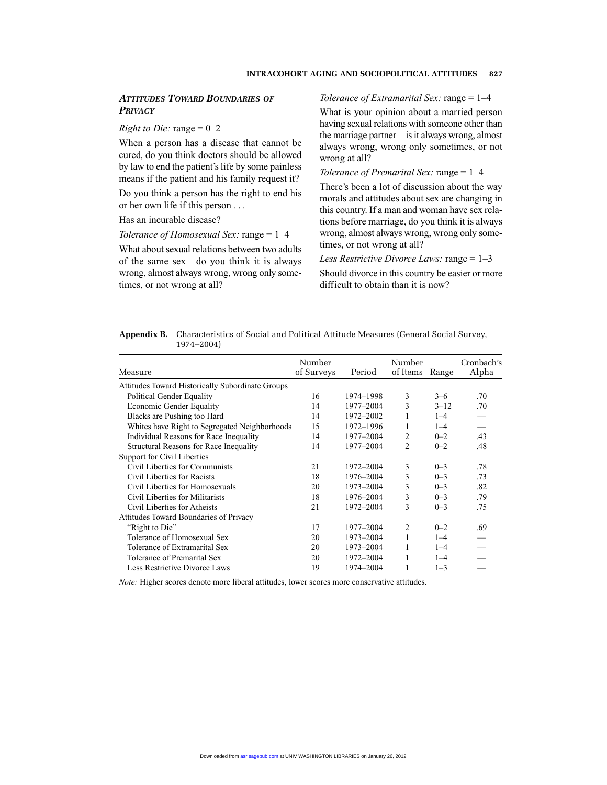## **INTRACOHORT AGING AND SOCIOPOLITICAL ATTITUDES—–827**

# *ATTITUDES TOWARD BOUNDARIES OF PRIVACY*

#### *Right to Die:* range  $= 0-2$

When a person has a disease that cannot be cured, do you think doctors should be allowed by law to end the patient's life by some painless means if the patient and his family request it?

Do you think a person has the right to end his or her own life if this person ...

Has an incurable disease?

*Tolerance of Homosexual Sex:* range = 1–4

What about sexual relations between two adults of the same sex—do you think it is always wrong, almost always wrong, wrong only sometimes, or not wrong at all?

# *Tolerance of Extramarital Sex:* range = 1–4

What is your opinion about a married person having sexual relations with someone other than the marriage partner—is it always wrong, almost always wrong, wrong only sometimes, or not wrong at all?

## *Tolerance of Premarital Sex:* range = 1–4

There's been a lot of discussion about the way morals and attitudes about sex are changing in this country. If a man and woman have sex relations before marriage, do you think it is always wrong, almost always wrong, wrong only sometimes, or not wrong at all?

*Less Restrictive Divorce Laws:* range = 1–3

Should divorce in this country be easier or more difficult to obtain than it is now?

**Appendix B.**—Characteristics of Social and Political Attitude Measures (General Social Survey, 1974–2004)

| Measure                                          | Number<br>of Surveys | Period    | Number<br>of Items | Range    | Cronbach's<br>Alpha |
|--------------------------------------------------|----------------------|-----------|--------------------|----------|---------------------|
| Attitudes Toward Historically Subordinate Groups |                      |           |                    |          |                     |
| Political Gender Equality                        | 16                   | 1974-1998 | 3                  | $3 - 6$  | .70                 |
| <b>Economic Gender Equality</b>                  | 14                   | 1977-2004 | 3                  | $3 - 12$ | .70                 |
| Blacks are Pushing too Hard                      | 14                   | 1972-2002 | 1                  | $1 - 4$  |                     |
| Whites have Right to Segregated Neighborhoods    | 15                   | 1972-1996 | 1                  | $1 - 4$  |                     |
| Individual Reasons for Race Inequality           | 14                   | 1977-2004 | 2                  | $0 - 2$  | .43                 |
| Structural Reasons for Race Inequality           | 14                   | 1977-2004 | $\mathfrak{D}$     | $0 - 2$  | .48                 |
| Support for Civil Liberties                      |                      |           |                    |          |                     |
| Civil Liberties for Communists                   | 21                   | 1972-2004 | 3                  | $0 - 3$  | .78                 |
| Civil Liberties for Racists                      | 18                   | 1976–2004 | 3                  | $0 - 3$  | .73                 |
| Civil Liberties for Homosexuals                  | 20                   | 1973-2004 | 3                  | $0 - 3$  | .82                 |
| Civil Liberties for Militarists                  | 18                   | 1976–2004 | 3                  | $0 - 3$  | .79                 |
| Civil Liberties for Atheists                     | 21                   | 1972-2004 | 3                  | $0 - 3$  | .75                 |
| Attitudes Toward Boundaries of Privacy           |                      |           |                    |          |                     |
| "Right to Die"                                   | 17                   | 1977-2004 | 2                  | $0 - 2$  | .69                 |
| Tolerance of Homosexual Sex                      | 20                   | 1973-2004 | 1                  | $1 - 4$  |                     |
| Tolerance of Extramarital Sex                    | 20                   | 1973-2004 | 1                  | $1 - 4$  |                     |
| Tolerance of Premarital Sex                      | 20                   | 1972-2004 | 1                  | $1 - 4$  |                     |
| Less Restrictive Divorce Laws                    | 19                   | 1974-2004 | 1                  | $1 - 3$  |                     |

*Note:* Higher scores denote more liberal attitudes, lower scores more conservative attitudes.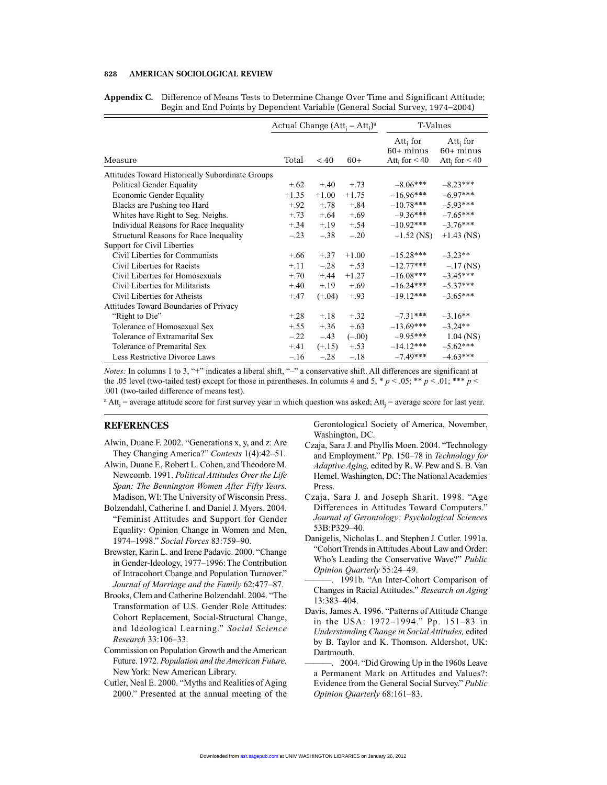|                                                  | Actual Change $(Att_i - Att_i)^a$ |          |          | T-Values                                                  |                                                           |
|--------------------------------------------------|-----------------------------------|----------|----------|-----------------------------------------------------------|-----------------------------------------------------------|
| Measure                                          | Total                             | < 40     | $60+$    | $Att_i$ for<br>$60+$ minus<br>Att <sub>i</sub> for $< 40$ | $Att_i$ for<br>$60+$ minus<br>Att <sub>i</sub> for $< 40$ |
| Attitudes Toward Historically Subordinate Groups |                                   |          |          |                                                           |                                                           |
| <b>Political Gender Equality</b>                 | $+.62$                            | $+.40$   | $+.73$   | $-8.06***$                                                | $-8.23***$                                                |
| Economic Gender Equality                         | $+1.35$                           | $+1.00$  | $+1.75$  | $-16.96***$                                               | $-6.97***$                                                |
| Blacks are Pushing too Hard                      | $+.92$                            | $+.78$   | $+.84$   | $-10.78***$                                               | $-5.93***$                                                |
| Whites have Right to Seg. Neighs.                | $+.73$                            | $+.64$   | $+.69$   | $-9.36***$                                                | $-7.65***$                                                |
| Individual Reasons for Race Inequality           | $+.34$                            | $+.19$   | $+.54$   | $-10.92***$                                               | $-3.76***$                                                |
| Structural Reasons for Race Inequality           | $-.23$                            | $-.38$   | $-.20$   | $-1.52$ (NS)                                              | $+1.43$ (NS)                                              |
| Support for Civil Liberties                      |                                   |          |          |                                                           |                                                           |
| Civil Liberties for Communists                   | $+.66$                            | $+.37$   | $+1.00$  | $-15.28***$                                               | $-3.23**$                                                 |
| Civil Liberties for Racists                      | $+.11$                            | $-.28$   | $+.53$   | $-12.77***$                                               | $-.17$ (NS)                                               |
| Civil Liberties for Homosexuals                  | $+.70$                            | $+.44$   | $+1.27$  | $-16.08***$                                               | $-3.45***$                                                |
| Civil Liberties for Militarists                  | $+.40$                            | $+.19$   | $+.69$   | $-16.24***$                                               | $-5.37***$                                                |
| Civil Liberties for Atheists                     | $+.47$                            | $(+.04)$ | $+.93$   | $-19.12***$                                               | $-3.65***$                                                |
| Attitudes Toward Boundaries of Privacy           |                                   |          |          |                                                           |                                                           |
| "Right to Die"                                   | $+.28$                            | $+.18$   | $+.32$   | $-7.31***$                                                | $-3.16**$                                                 |
| Tolerance of Homosexual Sex                      | $+.55$                            | $+.36$   | $+.63$   | $-13.69***$                                               | $-3.24**$                                                 |
| Tolerance of Extramarital Sex                    | $-.22$                            | $-.43$   | $(-.00)$ | $-9.95***$                                                | $1.04$ (NS)                                               |
| Tolerance of Premarital Sex                      | $+.41$                            | $(+.15)$ | $+.53$   | $-14.12***$                                               | $-5.62***$                                                |
| Less Restrictive Divorce Laws                    | $-.16$                            | $-.28$   | $-.18$   | $-7.49***$                                                | $-4.63***$                                                |

**Appendix C.**—Difference of Means Tests to Determine Change Over Time and Significant Attitude; Begin and End Points by Dependent Variable (General Social Survey, 1974–2004)

*Notes:* In columns 1 to 3, "+" indicates a liberal shift, "-" a conservative shift. All differences are significant at the .05 level (two-tailed test) except for those in parentheses. In columns 4 and 5,  $\ast p < .05$ ;  $\ast \ast p < .01$ ;  $\ast \ast \ast p <$ .001 (two-tailed difference of means test).

<sup>a</sup> Att<sub>i</sub> = average attitude score for first survey year in which question was asked; Att<sub>i</sub> = average score for last year.

## **REFERENCES**

- Alwin, Duane F. 2002. "Generations x, y, and z: Are They Changing America?" *Contexts* 1(4):42–51.
- Alwin, Duane F., Robert L. Cohen, and Theodore M. Newcomb. 1991. *Political Attitudes Over the Life Span: The Bennington Women After Fifty Years.* Madison, WI: The University of Wisconsin Press.
- Bolzendahl, Catherine I. and Daniel J. Myers. 2004. "Feminist Attitudes and Support for Gender Equality: Opinion Change in Women and Men, 1974–1998." *Social Forces* 83:759–90.
- Brewster, Karin L. and Irene Padavic. 2000. "Change in Gender-Ideology, 1977–1996: The Contribution of Intracohort Change and Population Turnover." *Journal of Marriage and the Family* 62:477–87.
- Brooks, Clem and Catherine Bolzendahl. 2004. "The Transformation of U.S. Gender Role Attitudes: Cohort Replacement, Social-Structural Change, and Ideological Learning." *Social Science Research* 33:106–33.
- Commission on Population Growth and the American Future. 1972. *Population and the American Future.* New York: New American Library.
- Cutler, Neal E. 2000. "Myths and Realities of Aging 2000." Presented at the annual meeting of the

Gerontological Society of America, November, Washington, DC.

- Czaja, Sara J. and Phyllis Moen. 2004. "Technology and Employment." Pp. 150–78 in *Technology for Adaptive Aging,* edited by R. W. Pew and S. B. Van Hemel. Washington, DC: The National Academies Press.
- Czaja, Sara J. and Joseph Sharit. 1998. "Age Differences in Attitudes Toward Computers." *Journal of Gerontology: Psychological Sciences* 53B:P329–40.
- Danigelis, Nicholas L. and Stephen J. Cutler. 1991a. "Cohort Trends in Attitudes About Law and Order: Who's Leading the Conservative Wave?" *Public Opinion Quarterly* 55:24–49.
- ———. 1991b. "An Inter-Cohort Comparison of Changes in Racial Attitudes." *Research on Aging* 13:383–404.
- Davis, James A. 1996. "Patterns of Attitude Change in the USA: 1972–1994." Pp. 151–83 in *Understanding Change in Social Attitudes,* edited by B. Taylor and K. Thomson. Aldershot, UK: Dartmouth.
- ———. 2004. "Did Growing Up in the 1960s Leave a Permanent Mark on Attitudes and Values?: Evidence from the General Social Survey." *Public Opinion Quarterly* 68:161–83.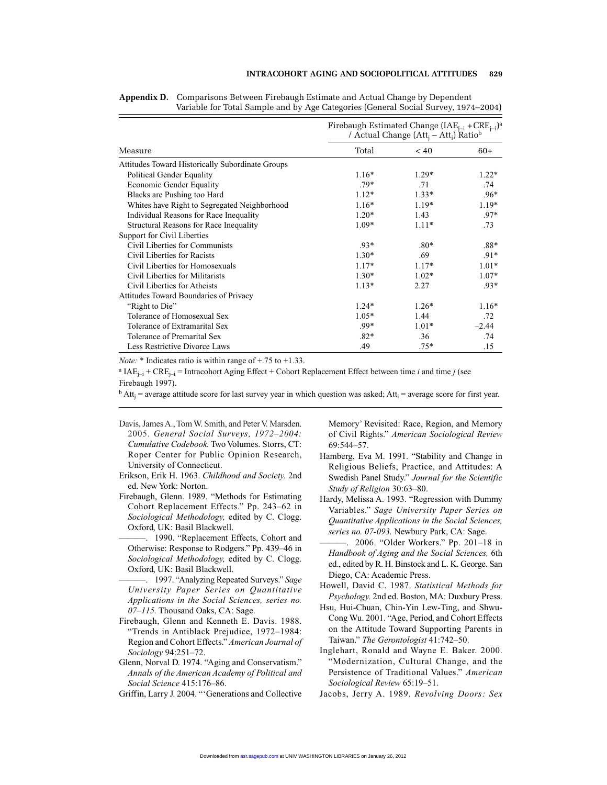#### **INTRACOHORT AGING AND SOCIOPOLITICAL ATTITUDES—–829**

|                                                  | Firebaugh Estimated Change $[IAE_{i-i} + CRE_{i-i}]^a$<br>/ Actual Change (Att <sub>i</sub> – Att <sub>i</sub> ) Ratio <sup>b</sup> |         |         |  |
|--------------------------------------------------|-------------------------------------------------------------------------------------------------------------------------------------|---------|---------|--|
| Measure                                          | Total                                                                                                                               | < 40    | $60+$   |  |
| Attitudes Toward Historically Subordinate Groups |                                                                                                                                     |         |         |  |
| Political Gender Equality                        | $1.16*$                                                                                                                             | $1.29*$ | $1.22*$ |  |
| Economic Gender Equality                         | $.79*$                                                                                                                              | .71     | .74     |  |
| Blacks are Pushing too Hard                      | $1.12*$                                                                                                                             | $1.33*$ | $.96*$  |  |
| Whites have Right to Segregated Neighborhood     | $1.16*$                                                                                                                             | $1.19*$ | $1.19*$ |  |
| Individual Reasons for Race Inequality           | $1.20*$                                                                                                                             | 1.43    | $.97*$  |  |
| Structural Reasons for Race Inequality           | $1.09*$                                                                                                                             | $1.11*$ | .73     |  |
| Support for Civil Liberties                      |                                                                                                                                     |         |         |  |
| Civil Liberties for Communists                   | $.93*$                                                                                                                              | $.80*$  | $.88*$  |  |
| Civil Liberties for Racists                      | $1.30*$                                                                                                                             | .69     | $.91*$  |  |
| Civil Liberties for Homosexuals                  | $1.17*$                                                                                                                             | $1.17*$ | $1.01*$ |  |
| Civil Liberties for Militarists                  | $1.30*$                                                                                                                             | $1.02*$ | $1.07*$ |  |
| Civil Liberties for Atheists                     | $1.13*$                                                                                                                             | 2.27    | $.93*$  |  |
| Attitudes Toward Boundaries of Privacy           |                                                                                                                                     |         |         |  |
| "Right to Die"                                   | $1.24*$                                                                                                                             | $1.26*$ | $1.16*$ |  |
| Tolerance of Homosexual Sex                      | $1.05*$                                                                                                                             | 1.44    | .72     |  |
| Tolerance of Extramarital Sex                    | $.99*$                                                                                                                              | $1.01*$ | $-2.44$ |  |
| Tolerance of Premarital Sex                      | $.82*$                                                                                                                              | .36     | .74     |  |
| Less Restrictive Divorce Laws                    | .49                                                                                                                                 | $.75*$  | .15     |  |

**Appendix D.**—Comparisons Between Firebaugh Estimate and Actual Change by Dependent Variable for Total Sample and by Age Categories (General Social Survey, 1974–2004)

*Note:* \* Indicates ratio is within range of +.75 to +1.33.

<sup>a</sup> IAE<sub>i-i</sub> + CRE<sub>i-i</sub> = Intracohort Aging Effect + Cohort Replacement Effect between time *i* and time *j* (see Firebaugh 1997).

 $b$  Att<sub>i</sub> = average attitude score for last survey year in which question was asked; Att<sub>i</sub> = average score for first year.

- Davis, James A., Tom W. Smith, and Peter V. Marsden. 2005. *General Social Surveys, 1972–2004: Cumulative Codebook.* Two Volumes. Storrs, CT: Roper Center for Public Opinion Research, University of Connecticut.
- Erikson, Erik H. 1963. *Childhood and Society.* 2nd ed. New York: Norton.
- Firebaugh, Glenn. 1989. "Methods for Estimating Cohort Replacement Effects." Pp. 243–62 in *Sociological Methodology,* edited by C. Clogg. Oxford, UK: Basil Blackwell.

1990. "Replacement Effects, Cohort and Otherwise: Response to Rodgers." Pp. 439–46 in *Sociological Methodology,* edited by C. Clogg. Oxford, UK: Basil Blackwell.

———. 1997. "Analyzing Repeated Surveys." *Sage University Paper Series on Quantitative Applications in the Social Sciences, series no. 07–115.* Thousand Oaks, CA: Sage.

- Firebaugh, Glenn and Kenneth E. Davis. 1988. "Trends in Antiblack Prejudice, 1972–1984: Region and Cohort Effects." *American Journal of Sociology* 94:251–72.
- Glenn, Norval D. 1974. "Aging and Conservatism." *Annals of the American Academy of Political and Social Science* 415:176–86.

Griffin, Larry J. 2004. "'Generations and Collective

Memory' Revisited: Race, Region, and Memory of Civil Rights." *American Sociological Review* 69:544–57.

- Hamberg, Eva M. 1991. "Stability and Change in Religious Beliefs, Practice, and Attitudes: A Swedish Panel Study." *Journal for the Scientific Study of Religion* 30:63–80.
- Hardy, Melissa A. 1993. "Regression with Dummy Variables." *Sage University Paper Series on Quantitative Applications in the Social Sciences, series no. 07-093.* Newbury Park, CA: Sage.
- 2006. "Older Workers." Pp. 201-18 in *Handbook of Aging and the Social Sciences,* 6th ed., edited by R. H. Binstock and L. K. George. San Diego, CA: Academic Press.
- Howell, David C. 1987. *Statistical Methods for Psychology.* 2nd ed. Boston, MA: Duxbury Press.
- Hsu, Hui-Chuan, Chin-Yin Lew-Ting, and Shwu-Cong Wu. 2001. "Age, Period, and Cohort Effects on the Attitude Toward Supporting Parents in Taiwan." *The Gerontologist* 41:742–50.
- Inglehart, Ronald and Wayne E. Baker. 2000. "Modernization, Cultural Change, and the Persistence of Traditional Values." *American Sociological Review* 65:19–51.

Jacobs, Jerry A. 1989. *Revolving Doors: Sex*